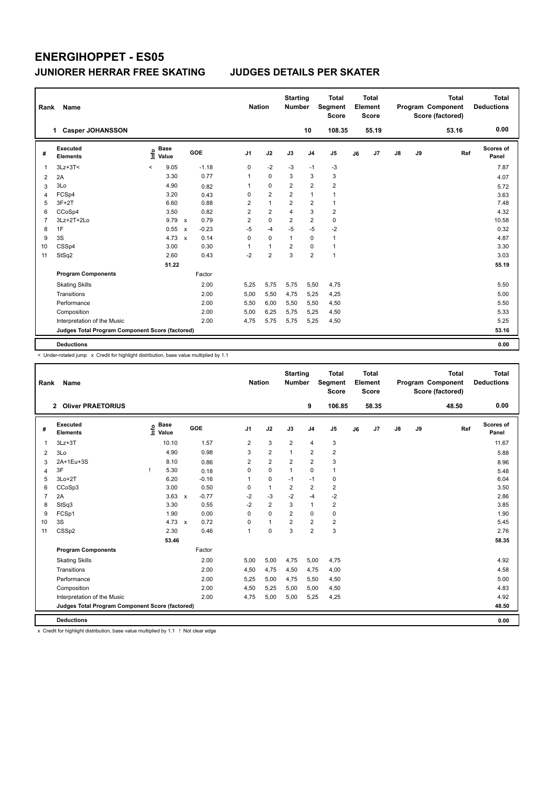| Rank           | Name                                            |                          |                      |              |         | <b>Nation</b>  |                | <b>Starting</b><br><b>Number</b> |                         | <b>Total</b><br>Segment<br><b>Score</b> |    | <b>Total</b><br>Element<br><b>Score</b> |               |    | <b>Total</b><br>Program Component<br>Score (factored) | Total<br><b>Deductions</b> |  |
|----------------|-------------------------------------------------|--------------------------|----------------------|--------------|---------|----------------|----------------|----------------------------------|-------------------------|-----------------------------------------|----|-----------------------------------------|---------------|----|-------------------------------------------------------|----------------------------|--|
|                | <b>Casper JOHANSSON</b><br>1.                   |                          |                      |              |         |                |                |                                  | 10                      | 108.35                                  |    | 55.19                                   |               |    | 53.16                                                 | 0.00                       |  |
| #              | Executed<br><b>Elements</b>                     | ١nf٥                     | <b>Base</b><br>Value |              | GOE     | J <sub>1</sub> | J2             | J3                               | J <sub>4</sub>          | J <sub>5</sub>                          | J6 | J7                                      | $\mathsf{J}8$ | J9 | Ref                                                   | <b>Scores of</b><br>Panel  |  |
| 1              | $3Lz + 3T <$                                    | $\overline{\phantom{a}}$ | 9.05                 |              | $-1.18$ | 0              | $-2$           | $-3$                             | $-1$                    | -3                                      |    |                                         |               |    |                                                       | 7.87                       |  |
| 2              | 2A                                              |                          | 3.30                 |              | 0.77    | 1              | $\Omega$       | 3                                | 3                       | 3                                       |    |                                         |               |    |                                                       | 4.07                       |  |
| 3              | 3Lo                                             |                          | 4.90                 |              | 0.82    | 1              | $\mathbf 0$    | $\overline{2}$                   | $\overline{2}$          | $\overline{2}$                          |    |                                         |               |    |                                                       | 5.72                       |  |
| 4              | FCSp4                                           |                          | 3.20                 |              | 0.43    | 0              | $\overline{2}$ | $\overline{2}$                   | $\mathbf{1}$            | 1                                       |    |                                         |               |    |                                                       | 3.63                       |  |
| 5              | $3F+2T$                                         |                          | 6.60                 |              | 0.88    | 2              | $\mathbf{1}$   | 2                                | $\overline{\mathbf{c}}$ | $\mathbf{1}$                            |    |                                         |               |    |                                                       | 7.48                       |  |
| 6              | CCoSp4                                          |                          | 3.50                 |              | 0.82    | $\overline{2}$ | $\overline{2}$ | 4                                | 3                       | $\overline{2}$                          |    |                                         |               |    |                                                       | 4.32                       |  |
| $\overline{7}$ | 3Lz+2T+2Lo                                      |                          | 9.79                 | $\mathsf{x}$ | 0.79    | 2              | $\mathbf 0$    | $\overline{\mathbf{c}}$          | $\overline{2}$          | $\mathbf 0$                             |    |                                         |               |    |                                                       | 10.58                      |  |
| 8              | 1F                                              |                          | 0.55                 | $\mathsf{x}$ | $-0.23$ | $-5$           | $-4$           | $-5$                             | $-5$                    | $-2$                                    |    |                                         |               |    |                                                       | 0.32                       |  |
| 9              | 3S                                              |                          | 4.73                 | $\mathbf{x}$ | 0.14    | 0              | $\mathbf 0$    | $\mathbf{1}$                     | $\mathbf 0$             | $\mathbf{1}$                            |    |                                         |               |    |                                                       | 4.87                       |  |
| 10             | CSSp4                                           |                          | 3.00                 |              | 0.30    | 1              | $\overline{1}$ | 2                                | 0                       | $\mathbf{1}$                            |    |                                         |               |    |                                                       | 3.30                       |  |
| 11             | StSq2                                           |                          | 2.60                 |              | 0.43    | $-2$           | $\overline{2}$ | 3                                | $\overline{2}$          | $\mathbf{1}$                            |    |                                         |               |    |                                                       | 3.03                       |  |
|                |                                                 |                          | 51.22                |              |         |                |                |                                  |                         |                                         |    |                                         |               |    |                                                       | 55.19                      |  |
|                | <b>Program Components</b>                       |                          |                      |              | Factor  |                |                |                                  |                         |                                         |    |                                         |               |    |                                                       |                            |  |
|                | <b>Skating Skills</b>                           |                          |                      |              | 2.00    | 5,25           | 5,75           | 5,75                             | 5,50                    | 4,75                                    |    |                                         |               |    |                                                       | 5.50                       |  |
|                | Transitions                                     |                          |                      |              | 2.00    | 5,00           | 5,50           | 4,75                             | 5,25                    | 4,25                                    |    |                                         |               |    |                                                       | 5.00                       |  |
|                | Performance                                     |                          |                      |              | 2.00    | 5,50           | 6,00           | 5,50                             | 5,50                    | 4,50                                    |    |                                         |               |    |                                                       | 5.50                       |  |
|                | Composition                                     |                          |                      |              | 2.00    | 5,00           | 6,25           | 5,75                             | 5,25                    | 4,50                                    |    |                                         |               |    |                                                       | 5.33                       |  |
|                | Interpretation of the Music                     |                          |                      |              | 2.00    | 4,75           | 5,75           | 5,75                             | 5,25                    | 4,50                                    |    |                                         |               |    |                                                       | 5.25                       |  |
|                | Judges Total Program Component Score (factored) |                          |                      |              |         |                |                |                                  |                         |                                         |    |                                         |               |    |                                                       | 53.16                      |  |
|                | <b>Deductions</b>                               |                          |                      |              |         |                |                |                                  |                         |                                         |    |                                         |               |    |                                                       | 0.00                       |  |

< Under-rotated jump x Credit for highlight distribution, base value multiplied by 1.1

| Rank           | Name                                            |                              |                         | <b>Nation</b>  |                | <b>Starting</b><br><b>Number</b> |                | <b>Total</b><br><b>Segment</b><br><b>Score</b> |    | <b>Total</b><br>Element<br>Score |    |    | <b>Total</b><br>Program Component<br>Score (factored) | Total<br><b>Deductions</b> |
|----------------|-------------------------------------------------|------------------------------|-------------------------|----------------|----------------|----------------------------------|----------------|------------------------------------------------|----|----------------------------------|----|----|-------------------------------------------------------|----------------------------|
|                | <b>Oliver PRAETORIUS</b><br>$\overline{2}$      |                              |                         |                |                |                                  | 9              | 106.85                                         |    | 58.35                            |    |    | 48.50                                                 | 0.00                       |
| #              | <b>Executed</b><br><b>Elements</b>              | <b>Base</b><br>lnfo<br>Value | GOE                     | J1             | J2             | J3                               | J <sub>4</sub> | J <sub>5</sub>                                 | J6 | J7                               | J8 | J9 | Ref                                                   | <b>Scores of</b><br>Panel  |
| 1              | $3Lz + 3T$                                      | 10.10                        | 1.57                    | 2              | 3              | $\overline{2}$                   | $\overline{4}$ | 3                                              |    |                                  |    |    |                                                       | 11.67                      |
| 2              | 3Lo                                             | 4.90                         | 0.98                    | 3              | $\overline{2}$ | 1                                | $\overline{2}$ | $\overline{2}$                                 |    |                                  |    |    |                                                       | 5.88                       |
| 3              | 2A+1Eu+3S                                       | 8.10                         | 0.86                    | 2              | $\overline{2}$ | $\overline{2}$                   | $\overline{2}$ | 3                                              |    |                                  |    |    |                                                       | 8.96                       |
| 4              | 3F                                              | 5.30                         | 0.18                    | $\Omega$       | $\Omega$       | 1                                | 0              | 1                                              |    |                                  |    |    |                                                       | 5.48                       |
| 5              | $3Lo+2T$                                        | 6.20                         | $-0.16$                 |                | $\mathbf 0$    | $-1$                             | $-1$           | 0                                              |    |                                  |    |    |                                                       | 6.04                       |
| 6              | CCoSp3                                          | 3.00                         | 0.50                    | 0              | $\mathbf{1}$   | $\overline{2}$                   | $\overline{2}$ | $\overline{2}$                                 |    |                                  |    |    |                                                       | 3.50                       |
| $\overline{7}$ | 2A                                              | 3.63                         | $-0.77$<br>$\mathsf{x}$ | $-2$           | $-3$           | $-2$                             | $-4$           | $-2$                                           |    |                                  |    |    |                                                       | 2.86                       |
| 8              | StSq3                                           | 3.30                         | 0.55                    | $-2$           | $\overline{2}$ | 3                                | $\mathbf{1}$   | $\overline{\mathbf{c}}$                        |    |                                  |    |    |                                                       | 3.85                       |
| 9              | FCSp1                                           | 1.90                         | 0.00                    | $\Omega$       | $\Omega$       | $\overline{2}$                   | 0              | 0                                              |    |                                  |    |    |                                                       | 1.90                       |
| 10             | 3S                                              | $4.73 \times$                | 0.72                    | $\Omega$       | $\mathbf{1}$   | $\overline{2}$                   | $\overline{2}$ | $\overline{2}$                                 |    |                                  |    |    |                                                       | 5.45                       |
| 11             | CSSp2                                           | 2.30                         | 0.46                    | $\overline{1}$ | $\mathbf 0$    | 3                                | $\overline{2}$ | 3                                              |    |                                  |    |    |                                                       | 2.76                       |
|                |                                                 | 53.46                        |                         |                |                |                                  |                |                                                |    |                                  |    |    |                                                       | 58.35                      |
|                | <b>Program Components</b>                       |                              | Factor                  |                |                |                                  |                |                                                |    |                                  |    |    |                                                       |                            |
|                | <b>Skating Skills</b>                           |                              | 2.00                    | 5,00           | 5,00           | 4,75                             | 5,00           | 4,75                                           |    |                                  |    |    |                                                       | 4.92                       |
|                | Transitions                                     |                              | 2.00                    | 4,50           | 4.75           | 4,50                             | 4,75           | 4,00                                           |    |                                  |    |    |                                                       | 4.58                       |
|                | Performance                                     |                              | 2.00                    | 5,25           | 5,00           | 4,75                             | 5,50           | 4,50                                           |    |                                  |    |    |                                                       | 5.00                       |
|                | Composition                                     |                              | 2.00                    | 4,50           | 5,25           | 5,00                             | 5,00           | 4,50                                           |    |                                  |    |    |                                                       | 4.83                       |
|                | Interpretation of the Music                     |                              | 2.00                    | 4,75           | 5,00           | 5,00                             | 5,25           | 4,25                                           |    |                                  |    |    |                                                       | 4.92                       |
|                | Judges Total Program Component Score (factored) |                              |                         |                |                |                                  |                |                                                |    |                                  |    |    |                                                       | 48.50                      |
|                | <b>Deductions</b>                               |                              |                         |                |                |                                  |                |                                                |    |                                  |    |    |                                                       | 0.00                       |

x Credit for highlight distribution, base value multiplied by 1.1 ! Not clear edge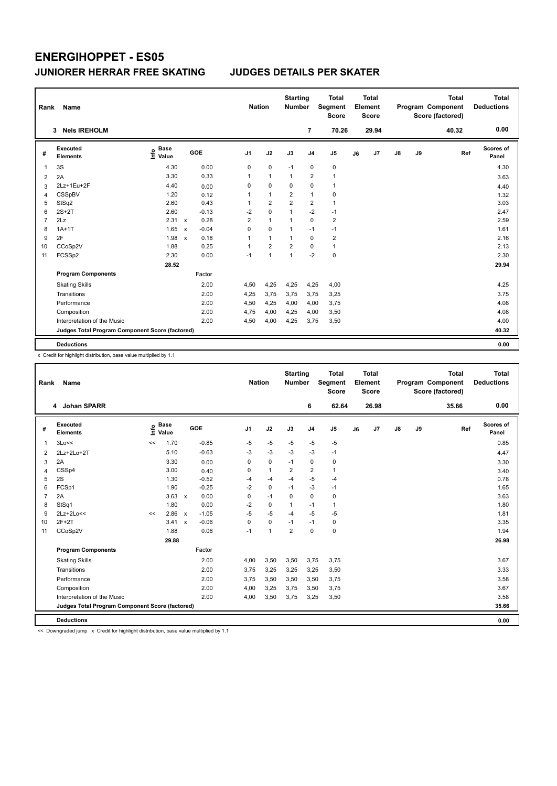| Rank           | Name                                            |                           |              |         |                | <b>Nation</b>  |                | <b>Starting</b><br>Number |                | <b>Total</b><br>Segment<br><b>Score</b> |    | <b>Total</b><br>Element<br><b>Score</b> |               |    | <b>Total</b><br>Program Component<br>Score (factored) | Total<br><b>Deductions</b> |
|----------------|-------------------------------------------------|---------------------------|--------------|---------|----------------|----------------|----------------|---------------------------|----------------|-----------------------------------------|----|-----------------------------------------|---------------|----|-------------------------------------------------------|----------------------------|
|                | <b>Nels IREHOLM</b><br>3                        |                           |              |         |                |                |                |                           | $\overline{7}$ | 70.26                                   |    | 29.94                                   |               |    | 40.32                                                 | 0.00                       |
| #              | <b>Executed</b><br><b>Elements</b>              | <b>Base</b><br>۴<br>Value |              | GOE     | J <sub>1</sub> |                | J2             | J3                        | J <sub>4</sub> | J <sub>5</sub>                          | J6 | J <sub>7</sub>                          | $\mathsf{J}8$ | J9 | Ref                                                   | Scores of<br>Panel         |
| 1              | 3S                                              | 4.30                      |              | 0.00    |                | 0              | $\mathbf 0$    | $-1$                      | $\mathbf 0$    | $\pmb{0}$                               |    |                                         |               |    |                                                       | 4.30                       |
| 2              | 2A                                              | 3.30                      |              | 0.33    |                | 1              | $\overline{1}$ | $\mathbf{1}$              | $\overline{2}$ | $\mathbf{1}$                            |    |                                         |               |    |                                                       | 3.63                       |
| 3              | 2Lz+1Eu+2F                                      | 4.40                      |              | 0.00    |                | 0              | $\mathbf 0$    | 0                         | $\mathbf 0$    | $\mathbf{1}$                            |    |                                         |               |    |                                                       | 4.40                       |
| 4              | <b>CSSpBV</b>                                   | 1.20                      |              | 0.12    |                | 1              | $\overline{1}$ | $\overline{2}$            | $\mathbf{1}$   | $\mathbf 0$                             |    |                                         |               |    |                                                       | 1.32                       |
| 5              | StSq2                                           | 2.60                      |              | 0.43    | 1              |                | $\overline{2}$ | $\overline{2}$            | $\overline{2}$ | $\mathbf{1}$                            |    |                                         |               |    |                                                       | 3.03                       |
| 6              | $2S+2T$                                         | 2.60                      |              | $-0.13$ |                | $-2$           | $\mathbf 0$    | $\overline{1}$            | $-2$           | $-1$                                    |    |                                         |               |    |                                                       | 2.47                       |
| $\overline{7}$ | 2Lz                                             | 2.31                      | $\mathsf{x}$ | 0.28    |                | $\overline{2}$ | $\mathbf{1}$   | $\overline{1}$            | $\mathbf 0$    | $\overline{\mathbf{c}}$                 |    |                                         |               |    |                                                       | 2.59                       |
| 8              | $1A+1T$                                         | 1.65                      | $\mathsf{x}$ | $-0.04$ |                | $\Omega$       | $\Omega$       | $\overline{1}$            | $-1$           | $-1$                                    |    |                                         |               |    |                                                       | 1.61                       |
| 9              | 2F                                              | 1.98                      | $\mathbf{x}$ | 0.18    | 1              |                | $\mathbf{1}$   | $\overline{1}$            | $\mathbf 0$    | $\overline{\mathbf{c}}$                 |    |                                         |               |    |                                                       | 2.16                       |
| 10             | CCoSp2V                                         | 1.88                      |              | 0.25    | 1              |                | $\overline{2}$ | $\overline{2}$            | $\mathbf 0$    | $\mathbf{1}$                            |    |                                         |               |    |                                                       | 2.13                       |
| 11             | FCSSp2                                          | 2.30                      |              | 0.00    |                | $-1$           | $\overline{1}$ | $\overline{1}$            | $-2$           | $\pmb{0}$                               |    |                                         |               |    |                                                       | 2.30                       |
|                |                                                 | 28.52                     |              |         |                |                |                |                           |                |                                         |    |                                         |               |    |                                                       | 29.94                      |
|                | <b>Program Components</b>                       |                           |              | Factor  |                |                |                |                           |                |                                         |    |                                         |               |    |                                                       |                            |
|                | <b>Skating Skills</b>                           |                           |              | 2.00    |                | 4,50           | 4,25           | 4,25                      | 4,25           | 4,00                                    |    |                                         |               |    |                                                       | 4.25                       |
|                | Transitions                                     |                           |              | 2.00    |                | 4,25           | 3,75           | 3,75                      | 3,75           | 3,25                                    |    |                                         |               |    |                                                       | 3.75                       |
|                | Performance                                     |                           |              | 2.00    |                | 4,50           | 4,25           | 4,00                      | 4,00           | 3,75                                    |    |                                         |               |    |                                                       | 4.08                       |
|                | Composition                                     |                           |              | 2.00    |                | 4,75           | 4,00           | 4,25                      | 4,00           | 3,50                                    |    |                                         |               |    |                                                       | 4.08                       |
|                | Interpretation of the Music                     |                           |              | 2.00    |                | 4,50           | 4,00           | 4,25                      | 3,75           | 3,50                                    |    |                                         |               |    |                                                       | 4.00                       |
|                | Judges Total Program Component Score (factored) |                           |              |         |                |                |                |                           |                |                                         |    |                                         |               |    |                                                       | 40.32                      |
|                | <b>Deductions</b>                               |                           |              |         |                |                |                |                           |                |                                         |    |                                         |               |    |                                                       | 0.00                       |

x Credit for highlight distribution, base value multiplied by 1.1

| Rank | Name                                            |      |                      |                           |         |                | <b>Nation</b> |              | <b>Starting</b><br><b>Number</b> |                | <b>Total</b><br>Segment<br><b>Score</b> |    | <b>Total</b><br>Element<br><b>Score</b> |               |    | <b>Total</b><br>Program Component<br>Score (factored) |     | <b>Total</b><br><b>Deductions</b> |
|------|-------------------------------------------------|------|----------------------|---------------------------|---------|----------------|---------------|--------------|----------------------------------|----------------|-----------------------------------------|----|-----------------------------------------|---------------|----|-------------------------------------------------------|-----|-----------------------------------|
|      | 4 Johan SPARR                                   |      |                      |                           |         |                |               |              |                                  | 6              | 62.64                                   |    | 26.98                                   |               |    | 35.66                                                 |     | 0.00                              |
| #    | Executed<br><b>Elements</b>                     | ١nf٥ | <b>Base</b><br>Value |                           | GOE     | J <sub>1</sub> | J2            |              | J3                               | J <sub>4</sub> | J5                                      | J6 | J7                                      | $\mathsf{J}8$ | J9 |                                                       | Ref | Scores of<br>Panel                |
| 1    | 3Lo<<                                           | <<   | 1.70                 |                           | $-0.85$ | $-5$           |               | $-5$         | $-5$                             | $-5$           | $-5$                                    |    |                                         |               |    |                                                       |     | 0.85                              |
| 2    | 2Lz+2Lo+2T                                      |      | 5.10                 |                           | $-0.63$ | $-3$           |               | $-3$         | $-3$                             | $-3$           | $-1$                                    |    |                                         |               |    |                                                       |     | 4.47                              |
| 3    | 2A                                              |      | 3.30                 |                           | 0.00    | 0              |               | $\pmb{0}$    | $-1$                             | 0              | 0                                       |    |                                         |               |    |                                                       |     | 3.30                              |
| 4    | CSSp4                                           |      | 3.00                 |                           | 0.40    | 0              |               | $\mathbf{1}$ | $\overline{2}$                   | $\overline{2}$ | $\mathbf{1}$                            |    |                                         |               |    |                                                       |     | 3.40                              |
| 5    | 2S                                              |      | 1.30                 |                           | $-0.52$ | -4             |               | $-4$         | $-4$                             | $-5$           | -4                                      |    |                                         |               |    |                                                       |     | 0.78                              |
| 6    | FCSp1                                           |      | 1.90                 |                           | $-0.25$ | $-2$           |               | $\mathbf 0$  | $-1$                             | $-3$           | $-1$                                    |    |                                         |               |    |                                                       |     | 1.65                              |
| 7    | 2A                                              |      | $3.63 \times$        |                           | 0.00    | 0              |               | $-1$         | $\Omega$                         | 0              | 0                                       |    |                                         |               |    |                                                       |     | 3.63                              |
| 8    | StSq1                                           |      | 1.80                 |                           | 0.00    | $-2$           |               | $\mathbf 0$  |                                  | $-1$           | $\mathbf{1}$                            |    |                                         |               |    |                                                       |     | 1.80                              |
| 9    | $2Lz+2Lo<<$                                     | <<   | 2.86                 | $\mathsf{x}$              | $-1.05$ | -5             |               | $-5$         | $-4$                             | $-5$           | $-5$                                    |    |                                         |               |    |                                                       |     | 1.81                              |
| 10   | $2F+2T$                                         |      | 3.41                 | $\boldsymbol{\mathsf{x}}$ | $-0.06$ | 0              |               | 0            | $-1$                             | $-1$           | 0                                       |    |                                         |               |    |                                                       |     | 3.35                              |
| 11   | CCoSp2V                                         |      | 1.88                 |                           | 0.06    | $-1$           |               | $\mathbf{1}$ | $\overline{2}$                   | 0              | 0                                       |    |                                         |               |    |                                                       |     | 1.94                              |
|      |                                                 |      | 29.88                |                           |         |                |               |              |                                  |                |                                         |    |                                         |               |    |                                                       |     | 26.98                             |
|      | <b>Program Components</b>                       |      |                      |                           | Factor  |                |               |              |                                  |                |                                         |    |                                         |               |    |                                                       |     |                                   |
|      | <b>Skating Skills</b>                           |      |                      |                           | 2.00    | 4,00           |               | 3,50         | 3,50                             | 3,75           | 3,75                                    |    |                                         |               |    |                                                       |     | 3.67                              |
|      | Transitions                                     |      |                      |                           | 2.00    | 3,75           |               | 3,25         | 3,25                             | 3,25           | 3,50                                    |    |                                         |               |    |                                                       |     | 3.33                              |
|      | Performance                                     |      |                      |                           | 2.00    | 3,75           |               | 3,50         | 3,50                             | 3,50           | 3,75                                    |    |                                         |               |    |                                                       |     | 3.58                              |
|      | Composition                                     |      |                      |                           | 2.00    | 4,00           |               | 3,25         | 3,75                             | 3,50           | 3,75                                    |    |                                         |               |    |                                                       |     | 3.67                              |
|      | Interpretation of the Music                     |      |                      |                           | 2.00    | 4,00           |               | 3,50         | 3,75                             | 3,25           | 3,50                                    |    |                                         |               |    |                                                       |     | 3.58                              |
|      | Judges Total Program Component Score (factored) |      |                      |                           |         |                |               |              |                                  |                |                                         |    |                                         |               |    |                                                       |     | 35.66                             |
|      | <b>Deductions</b>                               |      |                      |                           |         |                |               |              |                                  |                |                                         |    |                                         |               |    |                                                       |     | 0.00                              |

<< Downgraded jump x Credit for highlight distribution, base value multiplied by 1.1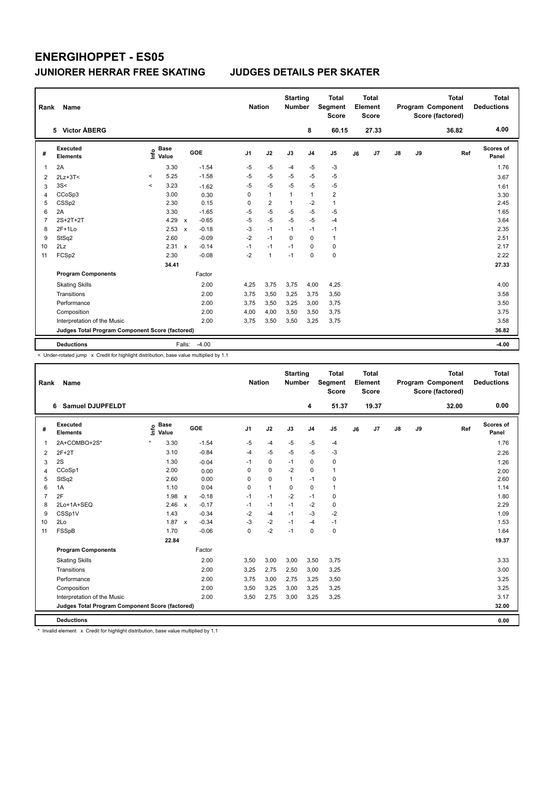| Rank | Name                                            |         |                      |                           |            | <b>Nation</b> |                | <b>Starting</b><br><b>Number</b> |                | <b>Total</b><br>Segment<br><b>Score</b> |    | <b>Total</b><br>Element<br><b>Score</b> |               |    | <b>Total</b><br>Program Component<br>Score (factored) | Total<br><b>Deductions</b> |
|------|-------------------------------------------------|---------|----------------------|---------------------------|------------|---------------|----------------|----------------------------------|----------------|-----------------------------------------|----|-----------------------------------------|---------------|----|-------------------------------------------------------|----------------------------|
|      | 5 Victor ÅBERG                                  |         |                      |                           |            |               |                |                                  | 8              | 60.15                                   |    | 27.33                                   |               |    | 36.82                                                 | 4.00                       |
| #    | <b>Executed</b><br><b>Elements</b>              | ١nf٥    | <b>Base</b><br>Value |                           | <b>GOE</b> | J1            | J2             | J3                               | J <sub>4</sub> | J <sub>5</sub>                          | J6 | J <sub>7</sub>                          | $\mathsf{J}8$ | J9 | Ref                                                   | Scores of<br>Panel         |
| -1   | 2A                                              |         | 3.30                 |                           | $-1.54$    | $-5$          | $-5$           | $-4$                             | $-5$           | -3                                      |    |                                         |               |    |                                                       | 1.76                       |
| 2    | $2Lz+3T<$                                       | $\,<\,$ | 5.25                 |                           | $-1.58$    | $-5$          | $-5$           | $-5$                             | $-5$           | $-5$                                    |    |                                         |               |    |                                                       | 3.67                       |
| 3    | 3S<                                             | $\prec$ | 3.23                 |                           | $-1.62$    | $-5$          | $-5$           | $-5$                             | $-5$           | $-5$                                    |    |                                         |               |    |                                                       | 1.61                       |
| 4    | CCoSp3                                          |         | 3.00                 |                           | 0.30       | 0             | $\mathbf{1}$   | 1                                | $\mathbf{1}$   | $\overline{\mathbf{c}}$                 |    |                                         |               |    |                                                       | 3.30                       |
| 5    | CSSp2                                           |         | 2.30                 |                           | 0.15       | 0             | $\overline{2}$ | 1                                | $-2$           | $\mathbf{1}$                            |    |                                         |               |    |                                                       | 2.45                       |
| 6    | 2A                                              |         | 3.30                 |                           | $-1.65$    | $-5$          | $-5$           | $-5$                             | $-5$           | $-5$                                    |    |                                         |               |    |                                                       | 1.65                       |
| 7    | 2S+2T+2T                                        |         | 4.29                 | $\boldsymbol{\mathsf{x}}$ | $-0.65$    | $-5$          | $-5$           | $-5$                             | $-5$           | $-4$                                    |    |                                         |               |    |                                                       | 3.64                       |
| 8    | $2F+1Lo$                                        |         | 2.53                 | $\mathsf{x}$              | $-0.18$    | $-3$          | $-1$           | $-1$                             | $-1$           | $-1$                                    |    |                                         |               |    |                                                       | 2.35                       |
| 9    | StSq2                                           |         | 2.60                 |                           | $-0.09$    | $-2$          | $-1$           | $\Omega$                         | $\Omega$       | $\mathbf{1}$                            |    |                                         |               |    |                                                       | 2.51                       |
| 10   | 2Lz                                             |         | 2.31                 | $\mathsf{x}$              | $-0.14$    | $-1$          | $-1$           | $-1$                             | $\Omega$       | $\pmb{0}$                               |    |                                         |               |    |                                                       | 2.17                       |
| 11   | FCSp2                                           |         | 2.30                 |                           | $-0.08$    | $-2$          | $\mathbf{1}$   | $-1$                             | $\mathbf 0$    | $\pmb{0}$                               |    |                                         |               |    |                                                       | 2.22                       |
|      |                                                 |         | 34.41                |                           |            |               |                |                                  |                |                                         |    |                                         |               |    |                                                       | 27.33                      |
|      | <b>Program Components</b>                       |         |                      |                           | Factor     |               |                |                                  |                |                                         |    |                                         |               |    |                                                       |                            |
|      | <b>Skating Skills</b>                           |         |                      |                           | 2.00       | 4,25          | 3,75           | 3,75                             | 4,00           | 4,25                                    |    |                                         |               |    |                                                       | 4.00                       |
|      | Transitions                                     |         |                      |                           | 2.00       | 3,75          | 3,50           | 3,25                             | 3,75           | 3,50                                    |    |                                         |               |    |                                                       | 3.58                       |
|      | Performance                                     |         |                      |                           | 2.00       | 3,75          | 3,50           | 3,25                             | 3,00           | 3,75                                    |    |                                         |               |    |                                                       | 3.50                       |
|      | Composition                                     |         |                      |                           | 2.00       | 4,00          | 4,00           | 3,50                             | 3,50           | 3,75                                    |    |                                         |               |    |                                                       | 3.75                       |
|      | Interpretation of the Music                     |         |                      |                           | 2.00       | 3,75          | 3,50           | 3,50                             | 3,25           | 3,75                                    |    |                                         |               |    |                                                       | 3.58                       |
|      | Judges Total Program Component Score (factored) |         |                      |                           |            |               |                |                                  |                |                                         |    |                                         |               |    |                                                       | 36.82                      |
|      | <b>Deductions</b>                               |         |                      | Falls:                    | $-4.00$    |               |                |                                  |                |                                         |    |                                         |               |    |                                                       | $-4.00$                    |

< Under-rotated jump x Credit for highlight distribution, base value multiplied by 1.1

| Rank           | Name                                            |                              |              |         |                | <b>Nation</b> |              | <b>Starting</b><br><b>Number</b> |                | <b>Total</b><br>Segment<br><b>Score</b> |    | <b>Total</b><br>Element<br><b>Score</b> |               |    | <b>Total</b><br>Program Component<br>Score (factored) | <b>Total</b><br><b>Deductions</b> |
|----------------|-------------------------------------------------|------------------------------|--------------|---------|----------------|---------------|--------------|----------------------------------|----------------|-----------------------------------------|----|-----------------------------------------|---------------|----|-------------------------------------------------------|-----------------------------------|
|                | <b>Samuel DJUPFELDT</b><br>6                    |                              |              |         |                |               |              |                                  | 4              | 51.37                                   |    | 19.37                                   |               |    | 32.00                                                 | 0.00                              |
| #              | Executed<br><b>Elements</b>                     | <b>Base</b><br>١nf٥<br>Value |              | GOE     | J <sub>1</sub> |               | J2           | J3                               | J <sub>4</sub> | J <sub>5</sub>                          | J6 | J7                                      | $\mathsf{J}8$ | J9 | Ref                                                   | Scores of<br>Panel                |
| $\mathbf{1}$   | 2A+COMBO+2S*                                    | $\star$<br>3.30              |              | $-1.54$ | $-5$           |               | $-4$         | $-5$                             | -5             | $-4$                                    |    |                                         |               |    |                                                       | 1.76                              |
| $\overline{2}$ | $2F+2T$                                         | 3.10                         |              | $-0.84$ | $-4$           |               | $-5$         | $-5$                             | $-5$           | $-3$                                    |    |                                         |               |    |                                                       | 2.26                              |
| 3              | 2S                                              | 1.30                         |              | $-0.04$ | $-1$           |               | $\pmb{0}$    | $-1$                             | $\pmb{0}$      | 0                                       |    |                                         |               |    |                                                       | 1.26                              |
| 4              | CCoSp1                                          | 2.00                         |              | 0.00    | 0              |               | $\mathbf 0$  | $-2$                             | $\mathbf 0$    | $\mathbf{1}$                            |    |                                         |               |    |                                                       | 2.00                              |
| 5              | StSq2                                           | 2.60                         |              | 0.00    | 0              |               | $\mathbf 0$  | $\mathbf{1}$                     | $-1$           | 0                                       |    |                                         |               |    |                                                       | 2.60                              |
| 6              | 1A                                              | 1.10                         |              | 0.04    | 0              |               | $\mathbf{1}$ | $\Omega$                         | $\mathbf 0$    | $\mathbf{1}$                            |    |                                         |               |    |                                                       | 1.14                              |
| $\overline{7}$ | 2F                                              | 1.98                         | $\mathsf{x}$ | $-0.18$ | $-1$           |               | $-1$         | $-2$                             | $-1$           | 0                                       |    |                                         |               |    |                                                       | 1.80                              |
| 8              | 2Lo+1A+SEQ                                      | 2.46                         | $\mathsf{x}$ | $-0.17$ | $-1$           |               | $-1$         | $-1$                             | $-2$           | $\pmb{0}$                               |    |                                         |               |    |                                                       | 2.29                              |
| 9              | CSSp1V                                          | 1.43                         |              | $-0.34$ | $-2$           |               | $-4$         | $-1$                             | $-3$           | $-2$                                    |    |                                         |               |    |                                                       | 1.09                              |
| 10             | 2Lo                                             | $1.87 \times$                |              | $-0.34$ | $-3$           |               | $-2$         | $-1$                             | $-4$           | $-1$                                    |    |                                         |               |    |                                                       | 1.53                              |
| 11             | FSSpB                                           | 1.70                         |              | $-0.06$ | $\mathbf 0$    |               | $-2$         | $-1$                             | $\pmb{0}$      | $\pmb{0}$                               |    |                                         |               |    |                                                       | 1.64                              |
|                |                                                 | 22.84                        |              |         |                |               |              |                                  |                |                                         |    |                                         |               |    |                                                       | 19.37                             |
|                | <b>Program Components</b>                       |                              |              | Factor  |                |               |              |                                  |                |                                         |    |                                         |               |    |                                                       |                                   |
|                | <b>Skating Skills</b>                           |                              |              | 2.00    | 3,50           |               | 3,00         | 3,00                             | 3,50           | 3,75                                    |    |                                         |               |    |                                                       | 3.33                              |
|                | Transitions                                     |                              |              | 2.00    | 3,25           |               | 2,75         | 2,50                             | 3,00           | 3,25                                    |    |                                         |               |    |                                                       | 3.00                              |
|                | Performance                                     |                              |              | 2.00    | 3,75           |               | 3,00         | 2,75                             | 3,25           | 3,50                                    |    |                                         |               |    |                                                       | 3.25                              |
|                | Composition                                     |                              |              | 2.00    | 3,50           |               | 3,25         | 3,00                             | 3,25           | 3,25                                    |    |                                         |               |    |                                                       | 3.25                              |
|                | Interpretation of the Music                     |                              |              | 2.00    | 3,50           |               | 2,75         | 3,00                             | 3,25           | 3,25                                    |    |                                         |               |    |                                                       | 3.17                              |
|                | Judges Total Program Component Score (factored) |                              |              |         |                |               |              |                                  |                |                                         |    |                                         |               |    |                                                       | 32.00                             |
|                | <b>Deductions</b>                               |                              |              |         |                |               |              |                                  |                |                                         |    |                                         |               |    |                                                       | 0.00                              |

\* Invalid element x Credit for highlight distribution, base value multiplied by 1.1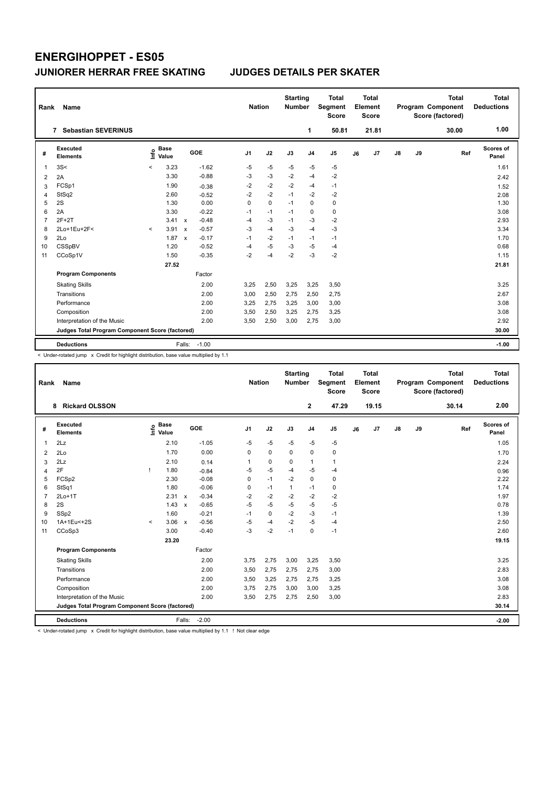| Rank           | Name                                            |         |                      |              |         | <b>Nation</b>  |             | <b>Starting</b><br><b>Number</b> |                | <b>Total</b><br>Segment<br>Score |    | <b>Total</b><br>Element<br><b>Score</b> |               |    | <b>Total</b><br>Program Component<br>Score (factored) | <b>Total</b><br><b>Deductions</b> |
|----------------|-------------------------------------------------|---------|----------------------|--------------|---------|----------------|-------------|----------------------------------|----------------|----------------------------------|----|-----------------------------------------|---------------|----|-------------------------------------------------------|-----------------------------------|
|                | <b>Sebastian SEVERINUS</b><br>7                 |         |                      |              |         |                |             |                                  | 1              | 50.81                            |    | 21.81                                   |               |    | 30.00                                                 | 1.00                              |
| #              | Executed<br><b>Elements</b>                     | ١nf٥    | <b>Base</b><br>Value |              | GOE     | J <sub>1</sub> | J2          | J3                               | J <sub>4</sub> | J5                               | J6 | J7                                      | $\mathsf{J}8$ | J9 | Ref                                                   | Scores of<br>Panel                |
| 1              | 3S<                                             | $\,<\,$ | 3.23                 |              | $-1.62$ | $-5$           | $-5$        | $-5$                             | $-5$           | -5                               |    |                                         |               |    |                                                       | 1.61                              |
| 2              | 2A                                              |         | 3.30                 |              | $-0.88$ | $-3$           | $-3$        | $-2$                             | $-4$           | $-2$                             |    |                                         |               |    |                                                       | 2.42                              |
| 3              | FCSp1                                           |         | 1.90                 |              | $-0.38$ | $-2$           | $-2$        | $-2$                             | $-4$           | $-1$                             |    |                                         |               |    |                                                       | 1.52                              |
| 4              | StSq2                                           |         | 2.60                 |              | $-0.52$ | $-2$           | $-2$        | $-1$                             | $-2$           | $-2$                             |    |                                         |               |    |                                                       | 2.08                              |
| 5              | 2S                                              |         | 1.30                 |              | 0.00    | 0              | $\mathbf 0$ | $-1$                             | $\mathbf 0$    | $\pmb{0}$                        |    |                                         |               |    |                                                       | 1.30                              |
| 6              | 2A                                              |         | 3.30                 |              | $-0.22$ | $-1$           | $-1$        | $-1$                             | 0              | 0                                |    |                                         |               |    |                                                       | 3.08                              |
| $\overline{7}$ | $2F+2T$                                         |         | 3.41                 | $\mathsf{x}$ | $-0.48$ | $-4$           | $-3$        | $-1$                             | $-3$           | $-2$                             |    |                                         |               |    |                                                       | 2.93                              |
| 8              | 2Lo+1Eu+2F<                                     | $\prec$ | 3.91                 | $\mathsf{x}$ | $-0.57$ | $-3$           | $-4$        | $-3$                             | $-4$           | $-3$                             |    |                                         |               |    |                                                       | 3.34                              |
| 9              | 2Lo                                             |         | 1.87                 | $\mathsf{x}$ | $-0.17$ | $-1$           | $-2$        | $-1$                             | $-1$           | $-1$                             |    |                                         |               |    |                                                       | 1.70                              |
| 10             | CSSpBV                                          |         | 1.20                 |              | $-0.52$ | -4             | $-5$        | -3                               | -5             | $-4$                             |    |                                         |               |    |                                                       | 0.68                              |
| 11             | CCoSp1V                                         |         | 1.50                 |              | $-0.35$ | $-2$           | $-4$        | $-2$                             | $-3$           | $-2$                             |    |                                         |               |    |                                                       | 1.15                              |
|                |                                                 |         | 27.52                |              |         |                |             |                                  |                |                                  |    |                                         |               |    |                                                       | 21.81                             |
|                | <b>Program Components</b>                       |         |                      |              | Factor  |                |             |                                  |                |                                  |    |                                         |               |    |                                                       |                                   |
|                | <b>Skating Skills</b>                           |         |                      |              | 2.00    | 3,25           | 2,50        | 3,25                             | 3,25           | 3,50                             |    |                                         |               |    |                                                       | 3.25                              |
|                | Transitions                                     |         |                      |              | 2.00    | 3,00           | 2,50        | 2,75                             | 2,50           | 2,75                             |    |                                         |               |    |                                                       | 2.67                              |
|                | Performance                                     |         |                      |              | 2.00    | 3,25           | 2,75        | 3,25                             | 3,00           | 3,00                             |    |                                         |               |    |                                                       | 3.08                              |
|                | Composition                                     |         |                      |              | 2.00    | 3,50           | 2,50        | 3,25                             | 2,75           | 3,25                             |    |                                         |               |    |                                                       | 3.08                              |
|                | Interpretation of the Music                     |         |                      |              | 2.00    | 3,50           | 2,50        | 3,00                             | 2,75           | 3,00                             |    |                                         |               |    |                                                       | 2.92                              |
|                | Judges Total Program Component Score (factored) |         |                      |              |         |                |             |                                  |                |                                  |    |                                         |               |    |                                                       | 30.00                             |
|                | <b>Deductions</b>                               |         |                      | Falls:       | $-1.00$ |                |             |                                  |                |                                  |    |                                         |               |    |                                                       | $-1.00$                           |

< Under-rotated jump x Credit for highlight distribution, base value multiplied by 1.1

| Rank           | Name                                            |         |                      |              |         | <b>Nation</b>  |             | <b>Starting</b><br><b>Number</b> |                | <b>Total</b><br><b>Segment</b><br><b>Score</b> |    | <b>Total</b><br>Element<br><b>Score</b> |               |    | <b>Total</b><br>Program Component<br>Score (factored) | <b>Total</b><br><b>Deductions</b> |
|----------------|-------------------------------------------------|---------|----------------------|--------------|---------|----------------|-------------|----------------------------------|----------------|------------------------------------------------|----|-----------------------------------------|---------------|----|-------------------------------------------------------|-----------------------------------|
|                | <b>Rickard OLSSON</b><br>8                      |         |                      |              |         |                |             |                                  | $\mathbf{2}$   | 47.29                                          |    | 19.15                                   |               |    | 30.14                                                 | 2.00                              |
| #              | Executed<br><b>Elements</b>                     | lnfo    | <b>Base</b><br>Value |              | GOE     | J <sub>1</sub> | J2          | J3                               | J <sub>4</sub> | J <sub>5</sub>                                 | J6 | J7                                      | $\mathsf{J}8$ | J9 | Ref                                                   | <b>Scores of</b><br>Panel         |
| 1              | 2Lz                                             |         | 2.10                 |              | $-1.05$ | $-5$           | $-5$        | $-5$                             | $-5$           | $-5$                                           |    |                                         |               |    |                                                       | 1.05                              |
| $\overline{2}$ | 2Lo                                             |         | 1.70                 |              | 0.00    | 0              | $\mathbf 0$ | 0                                | $\mathbf 0$    | 0                                              |    |                                         |               |    |                                                       | 1.70                              |
| 3              | 2Lz                                             |         | 2.10                 |              | 0.14    |                | $\pmb{0}$   | $\mathbf 0$                      | $\mathbf{1}$   | $\mathbf{1}$                                   |    |                                         |               |    |                                                       | 2.24                              |
| 4              | 2F                                              | т       | 1.80                 |              | $-0.84$ | $-5$           | $-5$        | $-4$                             | $-5$           | $-4$                                           |    |                                         |               |    |                                                       | 0.96                              |
| 5              | FCSp2                                           |         | 2.30                 |              | $-0.08$ | 0              | $-1$        | $-2$                             | $\mathbf 0$    | 0                                              |    |                                         |               |    |                                                       | 2.22                              |
| 6              | StSq1                                           |         | 1.80                 |              | $-0.06$ | 0              | $-1$        | $\mathbf{1}$                     | $-1$           | 0                                              |    |                                         |               |    |                                                       | 1.74                              |
| $\overline{7}$ | $2Lo+1T$                                        |         | 2.31                 | $\mathsf{x}$ | $-0.34$ | $-2$           | $-2$        | $-2$                             | $-2$           | $-2$                                           |    |                                         |               |    |                                                       | 1.97                              |
| 8              | 2S                                              |         | 1.43                 | $\mathsf{x}$ | $-0.65$ | $-5$           | $-5$        | $-5$                             | $-5$           | $-5$                                           |    |                                         |               |    |                                                       | 0.78                              |
| 9              | SSp2                                            |         | 1.60                 |              | $-0.21$ | $-1$           | $\mathbf 0$ | $-2$                             | $-3$           | $-1$                                           |    |                                         |               |    |                                                       | 1.39                              |
| 10             | 1A+1Eu<+2S                                      | $\prec$ | 3.06                 | $\mathbf{x}$ | $-0.56$ | $-5$           | $-4$        | $-2$                             | $-5$           | $-4$                                           |    |                                         |               |    |                                                       | 2.50                              |
| 11             | CCoSp3                                          |         | 3.00                 |              | $-0.40$ | $-3$           | $-2$        | $-1$                             | $\mathbf 0$    | $-1$                                           |    |                                         |               |    |                                                       | 2.60                              |
|                |                                                 |         | 23.20                |              |         |                |             |                                  |                |                                                |    |                                         |               |    |                                                       | 19.15                             |
|                | <b>Program Components</b>                       |         |                      |              | Factor  |                |             |                                  |                |                                                |    |                                         |               |    |                                                       |                                   |
|                | <b>Skating Skills</b>                           |         |                      |              | 2.00    | 3,75           | 2,75        | 3,00                             | 3,25           | 3,50                                           |    |                                         |               |    |                                                       | 3.25                              |
|                | Transitions                                     |         |                      |              | 2.00    | 3,50           | 2,75        | 2,75                             | 2,75           | 3,00                                           |    |                                         |               |    |                                                       | 2.83                              |
|                | Performance                                     |         |                      |              | 2.00    | 3,50           | 3,25        | 2,75                             | 2,75           | 3,25                                           |    |                                         |               |    |                                                       | 3.08                              |
|                | Composition                                     |         |                      |              | 2.00    | 3,75           | 2,75        | 3,00                             | 3,00           | 3,25                                           |    |                                         |               |    |                                                       | 3.08                              |
|                | Interpretation of the Music                     |         |                      |              | 2.00    | 3,50           | 2,75        | 2,75                             | 2,50           | 3,00                                           |    |                                         |               |    |                                                       | 2.83                              |
|                | Judges Total Program Component Score (factored) |         |                      |              |         |                |             |                                  |                |                                                |    |                                         |               |    |                                                       | 30.14                             |
|                | <b>Deductions</b>                               |         |                      | Falls:       | $-2.00$ |                |             |                                  |                |                                                |    |                                         |               |    |                                                       | $-2.00$                           |

< Under-rotated jump x Credit for highlight distribution, base value multiplied by 1.1 ! Not clear edge